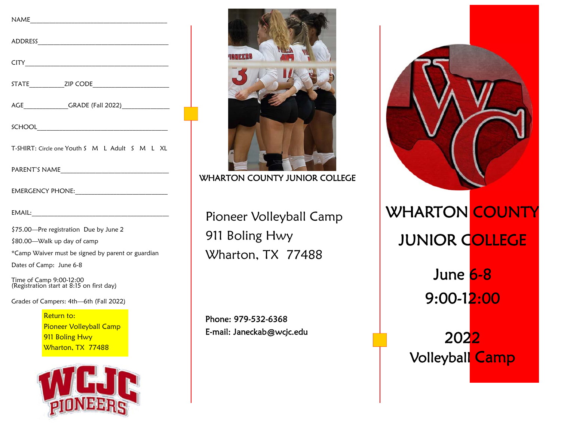| AGE________________GRADE (Fall 2022)_________________ |
|-------------------------------------------------------|
|                                                       |
| T-SHIRT: Circle one Youth S M L Adult S M L XL        |
|                                                       |
|                                                       |
| EMAIL:                                                |

\$75.00—Pre registration Due by June 2 \$80.00—Walk up day of camp \*Camp Waiver must be signed by parent or guardian

Dates of Camp: June 6-8

Time of Camp 9:00-12:00 (Registration start at 8:15 on first day)

Grades of Campers: 4th—6th (Fall 2022)

Return to: Pioneer Volleyball Camp **911 Boling Hwy** Wharton, TX 77488





WHARTON COUNTY JUNIOR COLLEGE

Pioneer Volleyball Camp 911 Boling Hwy Wharton, TX 77488

Phone: 979-532-6368 E-mail: Janeckab@wcjc.edu